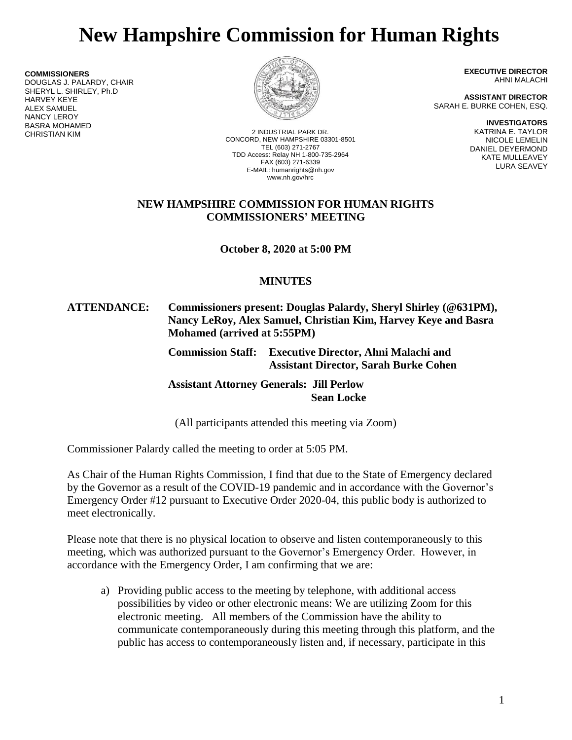# **New Hampshire Commission for Human Rights**

**COMMISSIONERS** DOUGLAS J. PALARDY, CHAIR SHERYL L. SHIRLEY, Ph.D HARVEY KEYE ALEX SAMUEL NANCY LEROY BASRA MOHAMED



2 INDUSTRIAL PARK DR. CONCORD, NEW HAMPSHIRE 03301-8501 TEL (603) 271-2767 TDD Access: Relay NH 1-800-735-2964 FAX (603) 271-6339 E-MAIL: humanrights@nh.gov www.nh.gov/hrc

**EXECUTIVE DIRECTOR** AHNI MALACHI

**ASSISTANT DIRECTOR** SARAH E. BURKE COHEN, ESQ.

> **INVESTIGATORS** KATRINA E. TAYLOR NICOLE LEMELIN DANIEL DEYERMOND KATE MULLEAVEY LURA SEAVEY

#### **NEW HAMPSHIRE COMMISSION FOR HUMAN RIGHTS COMMISSIONERS' MEETING**

**October 8, 2020 at 5:00 PM**

## **MINUTES**

#### **ATTENDANCE: Commissioners present: Douglas Palardy, Sheryl Shirley (@631PM), Nancy LeRoy, Alex Samuel, Christian Kim, Harvey Keye and Basra Mohamed (arrived at 5:55PM)**

**Commission Staff: Executive Director, Ahni Malachi and Assistant Director, Sarah Burke Cohen**

**Assistant Attorney Generals: Jill Perlow Sean Locke**

(All participants attended this meeting via Zoom)

Commissioner Palardy called the meeting to order at 5:05 PM.

As Chair of the Human Rights Commission, I find that due to the State of Emergency declared by the Governor as a result of the COVID-19 pandemic and in accordance with the Governor's Emergency Order #12 pursuant to Executive Order 2020-04, this public body is authorized to meet electronically.

Please note that there is no physical location to observe and listen contemporaneously to this meeting, which was authorized pursuant to the Governor's Emergency Order. However, in accordance with the Emergency Order, I am confirming that we are:

a) Providing public access to the meeting by telephone, with additional access possibilities by video or other electronic means: We are utilizing Zoom for this electronic meeting. All members of the Commission have the ability to communicate contemporaneously during this meeting through this platform, and the public has access to contemporaneously listen and, if necessary, participate in this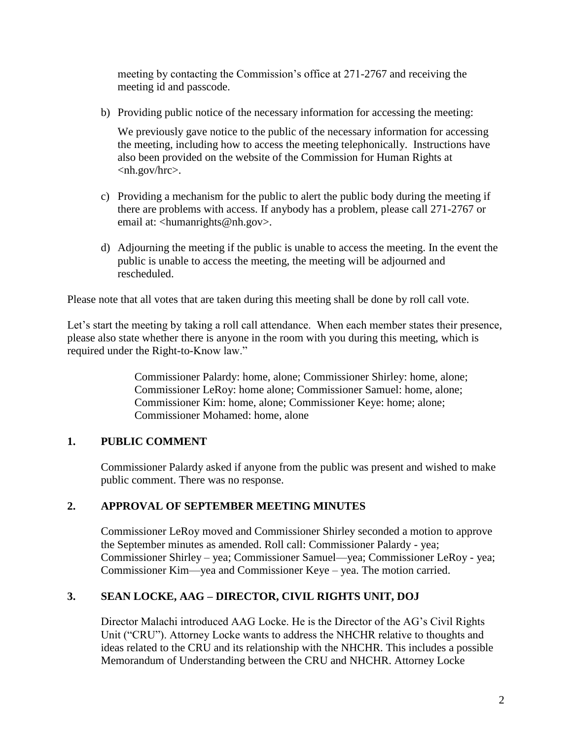meeting by contacting the Commission's office at 271-2767 and receiving the meeting id and passcode.

b) Providing public notice of the necessary information for accessing the meeting:

We previously gave notice to the public of the necessary information for accessing the meeting, including how to access the meeting telephonically. Instructions have also been provided on the website of the Commission for Human Rights at <nh.gov/hrc>.

- c) Providing a mechanism for the public to alert the public body during the meeting if there are problems with access. If anybody has a problem, please call 271-2767 or email at: <humanrights@nh.gov>.
- d) Adjourning the meeting if the public is unable to access the meeting. In the event the public is unable to access the meeting, the meeting will be adjourned and rescheduled.

Please note that all votes that are taken during this meeting shall be done by roll call vote.

Let's start the meeting by taking a roll call attendance. When each member states their presence, please also state whether there is anyone in the room with you during this meeting, which is required under the Right-to-Know law."

> Commissioner Palardy: home, alone; Commissioner Shirley: home, alone; Commissioner LeRoy: home alone; Commissioner Samuel: home, alone; Commissioner Kim: home, alone; Commissioner Keye: home; alone; Commissioner Mohamed: home, alone

# **1. PUBLIC COMMENT**

Commissioner Palardy asked if anyone from the public was present and wished to make public comment. There was no response.

# **2. APPROVAL OF SEPTEMBER MEETING MINUTES**

Commissioner LeRoy moved and Commissioner Shirley seconded a motion to approve the September minutes as amended. Roll call: Commissioner Palardy - yea; Commissioner Shirley – yea; Commissioner Samuel—yea; Commissioner LeRoy - yea; Commissioner Kim—yea and Commissioner Keye – yea. The motion carried.

# **3. SEAN LOCKE, AAG – DIRECTOR, CIVIL RIGHTS UNIT, DOJ**

Director Malachi introduced AAG Locke. He is the Director of the AG's Civil Rights Unit ("CRU"). Attorney Locke wants to address the NHCHR relative to thoughts and ideas related to the CRU and its relationship with the NHCHR. This includes a possible Memorandum of Understanding between the CRU and NHCHR. Attorney Locke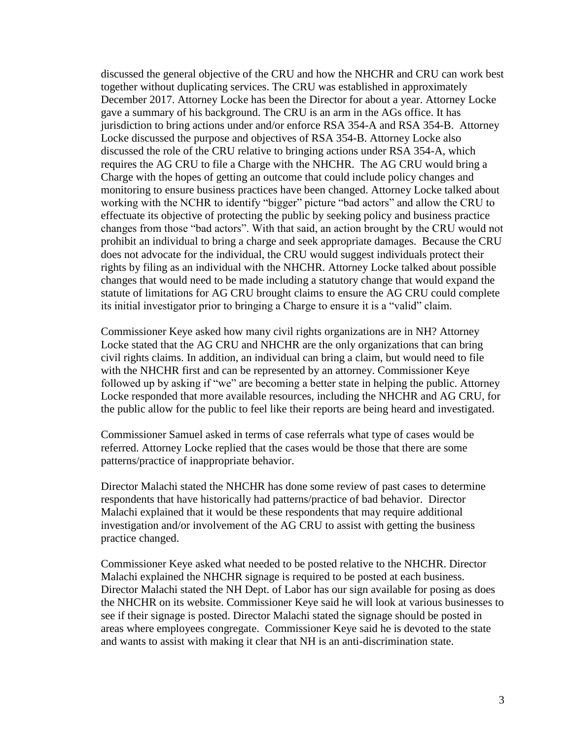discussed the general objective of the CRU and how the NHCHR and CRU can work best together without duplicating services. The CRU was established in approximately December 2017. Attorney Locke has been the Director for about a year. Attorney Locke gave a summary of his background. The CRU is an arm in the AGs office. It has jurisdiction to bring actions under and/or enforce RSA 354-A and RSA 354-B. Attorney Locke discussed the purpose and objectives of RSA 354-B. Attorney Locke also discussed the role of the CRU relative to bringing actions under RSA 354-A, which requires the AG CRU to file a Charge with the NHCHR. The AG CRU would bring a Charge with the hopes of getting an outcome that could include policy changes and monitoring to ensure business practices have been changed. Attorney Locke talked about working with the NCHR to identify "bigger" picture "bad actors" and allow the CRU to effectuate its objective of protecting the public by seeking policy and business practice changes from those "bad actors". With that said, an action brought by the CRU would not prohibit an individual to bring a charge and seek appropriate damages. Because the CRU does not advocate for the individual, the CRU would suggest individuals protect their rights by filing as an individual with the NHCHR. Attorney Locke talked about possible changes that would need to be made including a statutory change that would expand the statute of limitations for AG CRU brought claims to ensure the AG CRU could complete its initial investigator prior to bringing a Charge to ensure it is a "valid" claim.

Commissioner Keye asked how many civil rights organizations are in NH? Attorney Locke stated that the AG CRU and NHCHR are the only organizations that can bring civil rights claims. In addition, an individual can bring a claim, but would need to file with the NHCHR first and can be represented by an attorney. Commissioner Keye followed up by asking if "we" are becoming a better state in helping the public. Attorney Locke responded that more available resources, including the NHCHR and AG CRU, for the public allow for the public to feel like their reports are being heard and investigated.

Commissioner Samuel asked in terms of case referrals what type of cases would be referred. Attorney Locke replied that the cases would be those that there are some patterns/practice of inappropriate behavior.

Director Malachi stated the NHCHR has done some review of past cases to determine respondents that have historically had patterns/practice of bad behavior. Director Malachi explained that it would be these respondents that may require additional investigation and/or involvement of the AG CRU to assist with getting the business practice changed.

Commissioner Keye asked what needed to be posted relative to the NHCHR. Director Malachi explained the NHCHR signage is required to be posted at each business. Director Malachi stated the NH Dept. of Labor has our sign available for posing as does the NHCHR on its website. Commissioner Keye said he will look at various businesses to see if their signage is posted. Director Malachi stated the signage should be posted in areas where employees congregate. Commissioner Keye said he is devoted to the state and wants to assist with making it clear that NH is an anti-discrimination state.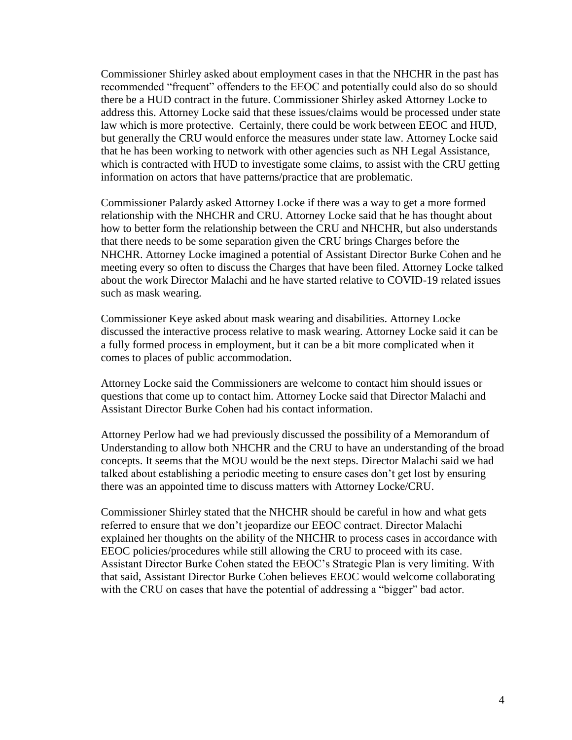Commissioner Shirley asked about employment cases in that the NHCHR in the past has recommended "frequent" offenders to the EEOC and potentially could also do so should there be a HUD contract in the future. Commissioner Shirley asked Attorney Locke to address this. Attorney Locke said that these issues/claims would be processed under state law which is more protective. Certainly, there could be work between EEOC and HUD, but generally the CRU would enforce the measures under state law. Attorney Locke said that he has been working to network with other agencies such as NH Legal Assistance, which is contracted with HUD to investigate some claims, to assist with the CRU getting information on actors that have patterns/practice that are problematic.

Commissioner Palardy asked Attorney Locke if there was a way to get a more formed relationship with the NHCHR and CRU. Attorney Locke said that he has thought about how to better form the relationship between the CRU and NHCHR, but also understands that there needs to be some separation given the CRU brings Charges before the NHCHR. Attorney Locke imagined a potential of Assistant Director Burke Cohen and he meeting every so often to discuss the Charges that have been filed. Attorney Locke talked about the work Director Malachi and he have started relative to COVID-19 related issues such as mask wearing.

Commissioner Keye asked about mask wearing and disabilities. Attorney Locke discussed the interactive process relative to mask wearing. Attorney Locke said it can be a fully formed process in employment, but it can be a bit more complicated when it comes to places of public accommodation.

Attorney Locke said the Commissioners are welcome to contact him should issues or questions that come up to contact him. Attorney Locke said that Director Malachi and Assistant Director Burke Cohen had his contact information.

Attorney Perlow had we had previously discussed the possibility of a Memorandum of Understanding to allow both NHCHR and the CRU to have an understanding of the broad concepts. It seems that the MOU would be the next steps. Director Malachi said we had talked about establishing a periodic meeting to ensure cases don't get lost by ensuring there was an appointed time to discuss matters with Attorney Locke/CRU.

Commissioner Shirley stated that the NHCHR should be careful in how and what gets referred to ensure that we don't jeopardize our EEOC contract. Director Malachi explained her thoughts on the ability of the NHCHR to process cases in accordance with EEOC policies/procedures while still allowing the CRU to proceed with its case. Assistant Director Burke Cohen stated the EEOC's Strategic Plan is very limiting. With that said, Assistant Director Burke Cohen believes EEOC would welcome collaborating with the CRU on cases that have the potential of addressing a "bigger" bad actor.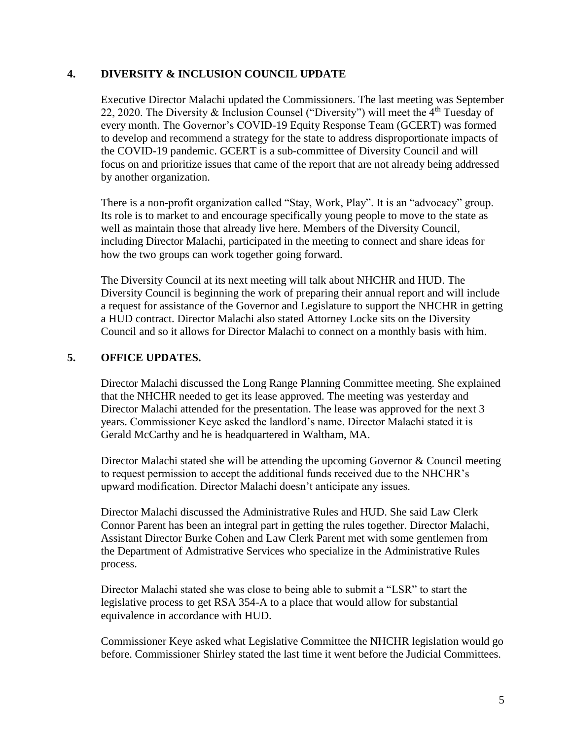#### **4. DIVERSITY & INCLUSION COUNCIL UPDATE**

Executive Director Malachi updated the Commissioners. The last meeting was September 22, 2020. The Diversity & Inclusion Counsel ("Diversity") will meet the  $4<sup>th</sup>$  Tuesday of every month. The Governor's COVID-19 Equity Response Team (GCERT) was formed to develop and recommend a strategy for the state to address disproportionate impacts of the COVID-19 pandemic. GCERT is a sub-committee of Diversity Council and will focus on and prioritize issues that came of the report that are not already being addressed by another organization.

There is a non-profit organization called "Stay, Work, Play". It is an "advocacy" group. Its role is to market to and encourage specifically young people to move to the state as well as maintain those that already live here. Members of the Diversity Council, including Director Malachi, participated in the meeting to connect and share ideas for how the two groups can work together going forward.

The Diversity Council at its next meeting will talk about NHCHR and HUD. The Diversity Council is beginning the work of preparing their annual report and will include a request for assistance of the Governor and Legislature to support the NHCHR in getting a HUD contract. Director Malachi also stated Attorney Locke sits on the Diversity Council and so it allows for Director Malachi to connect on a monthly basis with him.

#### **5. OFFICE UPDATES.**

Director Malachi discussed the Long Range Planning Committee meeting. She explained that the NHCHR needed to get its lease approved. The meeting was yesterday and Director Malachi attended for the presentation. The lease was approved for the next 3 years. Commissioner Keye asked the landlord's name. Director Malachi stated it is Gerald McCarthy and he is headquartered in Waltham, MA.

Director Malachi stated she will be attending the upcoming Governor & Council meeting to request permission to accept the additional funds received due to the NHCHR's upward modification. Director Malachi doesn't anticipate any issues.

Director Malachi discussed the Administrative Rules and HUD. She said Law Clerk Connor Parent has been an integral part in getting the rules together. Director Malachi, Assistant Director Burke Cohen and Law Clerk Parent met with some gentlemen from the Department of Admistrative Services who specialize in the Administrative Rules process.

Director Malachi stated she was close to being able to submit a "LSR" to start the legislative process to get RSA 354-A to a place that would allow for substantial equivalence in accordance with HUD.

Commissioner Keye asked what Legislative Committee the NHCHR legislation would go before. Commissioner Shirley stated the last time it went before the Judicial Committees.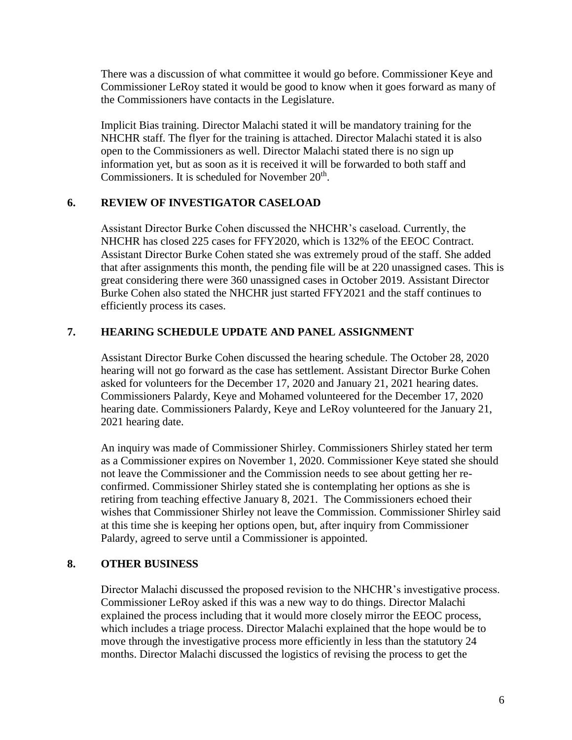There was a discussion of what committee it would go before. Commissioner Keye and Commissioner LeRoy stated it would be good to know when it goes forward as many of the Commissioners have contacts in the Legislature.

Implicit Bias training. Director Malachi stated it will be mandatory training for the NHCHR staff. The flyer for the training is attached. Director Malachi stated it is also open to the Commissioners as well. Director Malachi stated there is no sign up information yet, but as soon as it is received it will be forwarded to both staff and Commissioners. It is scheduled for November  $20<sup>th</sup>$ .

#### **6. REVIEW OF INVESTIGATOR CASELOAD**

Assistant Director Burke Cohen discussed the NHCHR's caseload. Currently, the NHCHR has closed 225 cases for FFY2020, which is 132% of the EEOC Contract. Assistant Director Burke Cohen stated she was extremely proud of the staff. She added that after assignments this month, the pending file will be at 220 unassigned cases. This is great considering there were 360 unassigned cases in October 2019. Assistant Director Burke Cohen also stated the NHCHR just started FFY2021 and the staff continues to efficiently process its cases.

## **7. HEARING SCHEDULE UPDATE AND PANEL ASSIGNMENT**

Assistant Director Burke Cohen discussed the hearing schedule. The October 28, 2020 hearing will not go forward as the case has settlement. Assistant Director Burke Cohen asked for volunteers for the December 17, 2020 and January 21, 2021 hearing dates. Commissioners Palardy, Keye and Mohamed volunteered for the December 17, 2020 hearing date. Commissioners Palardy, Keye and LeRoy volunteered for the January 21, 2021 hearing date.

An inquiry was made of Commissioner Shirley. Commissioners Shirley stated her term as a Commissioner expires on November 1, 2020. Commissioner Keye stated she should not leave the Commissioner and the Commission needs to see about getting her reconfirmed. Commissioner Shirley stated she is contemplating her options as she is retiring from teaching effective January 8, 2021. The Commissioners echoed their wishes that Commissioner Shirley not leave the Commission. Commissioner Shirley said at this time she is keeping her options open, but, after inquiry from Commissioner Palardy, agreed to serve until a Commissioner is appointed.

#### **8. OTHER BUSINESS**

Director Malachi discussed the proposed revision to the NHCHR's investigative process. Commissioner LeRoy asked if this was a new way to do things. Director Malachi explained the process including that it would more closely mirror the EEOC process, which includes a triage process. Director Malachi explained that the hope would be to move through the investigative process more efficiently in less than the statutory 24 months. Director Malachi discussed the logistics of revising the process to get the